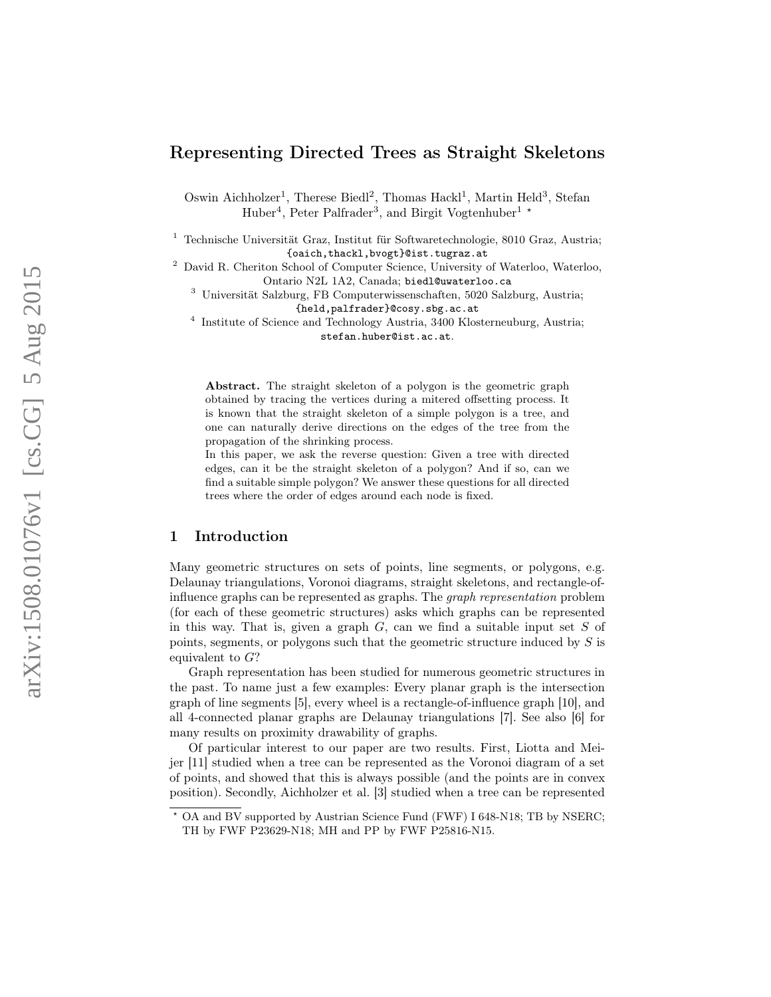# Representing Directed Trees as Straight Skeletons

Oswin Aichholzer<sup>1</sup>, Therese Biedl<sup>2</sup>, Thomas Hackl<sup>1</sup>, Martin Held<sup>3</sup>, Stefan Huber<sup>4</sup>, Peter Palfrader<sup>3</sup>, and Birgit Vogtenhuber<sup>1</sup><sup>\*</sup>

<sup>1</sup> Technische Universität Graz, Institut für Softwaretechnologie, 8010 Graz, Austria; {oaich,thackl,bvogt}@ist.tugraz.at

<sup>2</sup> David R. Cheriton School of Computer Science, University of Waterloo, Waterloo, Ontario N2L 1A2, Canada; biedl@uwaterloo.ca

<sup>3</sup> Universität Salzburg, FB Computerwissenschaften, 5020 Salzburg, Austria; {held,palfrader}@cosy.sbg.ac.at

<sup>4</sup> Institute of Science and Technology Austria, 3400 Klosterneuburg, Austria; stefan.huber@ist.ac.at .

Abstract. The straight skeleton of a polygon is the geometric graph obtained by tracing the vertices during a mitered offsetting process. It is known that the straight skeleton of a simple polygon is a tree, and one can naturally derive directions on the edges of the tree from the propagation of the shrinking process.

In this paper, we ask the reverse question: Given a tree with directed edges, can it be the straight skeleton of a polygon? And if so, can we find a suitable simple polygon? We answer these questions for all directed trees where the order of edges around each node is fixed.

# 1 Introduction

Many geometric structures on sets of points, line segments, or polygons, e.g. Delaunay triangulations, Voronoi diagrams, straight skeletons, and rectangle-ofinfluence graphs can be represented as graphs. The graph representation problem (for each of these geometric structures) asks which graphs can be represented in this way. That is, given a graph  $G$ , can we find a suitable input set  $S$  of points, segments, or polygons such that the geometric structure induced by S is equivalent to G?

Graph representation has been studied for numerous geometric structures in the past. To name just a few examples: Every planar graph is the intersection graph of line segments [\[5\]](#page-11-0), every wheel is a rectangle-of-influence graph [\[10\]](#page-11-1), and all 4-connected planar graphs are Delaunay triangulations [\[7\]](#page-11-2). See also [\[6\]](#page-11-3) for many results on proximity drawability of graphs.

Of particular interest to our paper are two results. First, Liotta and Meijer [\[11\]](#page-11-4) studied when a tree can be represented as the Voronoi diagram of a set of points, and showed that this is always possible (and the points are in convex position). Secondly, Aichholzer et al. [\[3\]](#page-11-5) studied when a tree can be represented

 $\overline{X}$  OA and BV supported by Austrian Science Fund (FWF) I 648-N18; TB by NSERC; TH by FWF P23629-N18; MH and PP by FWF P25816-N15.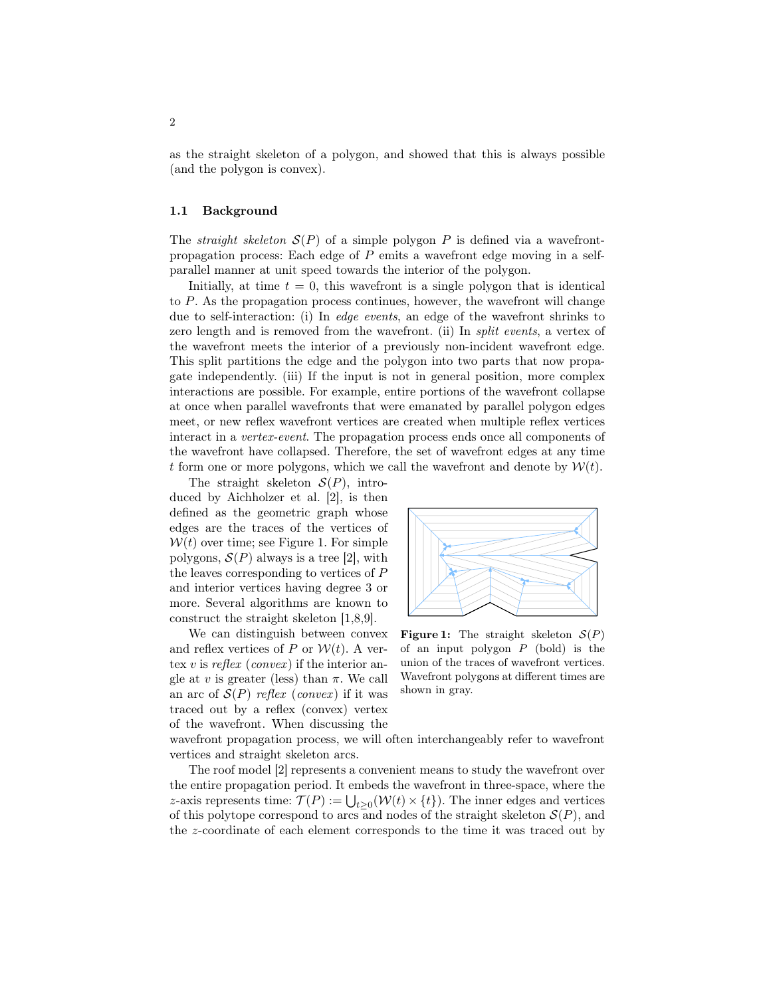as the straight skeleton of a polygon, and showed that this is always possible (and the polygon is convex).

### 1.1 Background

The *straight skeleton*  $S(P)$  of a simple polygon P is defined via a wavefrontpropagation process: Each edge of  $P$  emits a wavefront edge moving in a selfparallel manner at unit speed towards the interior of the polygon.

Initially, at time  $t = 0$ , this wavefront is a single polygon that is identical to P. As the propagation process continues, however, the wavefront will change due to self-interaction: (i) In edge events, an edge of the wavefront shrinks to zero length and is removed from the wavefront. (ii) In *split events*, a vertex of the wavefront meets the interior of a previously non-incident wavefront edge. This split partitions the edge and the polygon into two parts that now propagate independently. (iii) If the input is not in general position, more complex interactions are possible. For example, entire portions of the wavefront collapse at once when parallel wavefronts that were emanated by parallel polygon edges meet, or new reflex wavefront vertices are created when multiple reflex vertices interact in a vertex-event. The propagation process ends once all components of the wavefront have collapsed. Therefore, the set of wavefront edges at any time t form one or more polygons, which we call the wavefront and denote by  $W(t)$ .

The straight skeleton  $S(P)$ , introduced by Aichholzer et al. [\[2\]](#page-11-6), is then defined as the geometric graph whose edges are the traces of the vertices of  $W(t)$  over time; see [Figure 1.](#page-1-0) For simple polygons,  $S(P)$  always is a tree [\[2\]](#page-11-6), with the leaves corresponding to vertices of P and interior vertices having degree 3 or more. Several algorithms are known to construct the straight skeleton [\[1,](#page-11-7)[8](#page-11-8)[,9\]](#page-11-9).

We can distinguish between convex and reflex vertices of P or  $W(t)$ . A vertex v is reflex (convex) if the interior angle at v is greater (less) than  $\pi$ . We call an arc of  $S(P)$  reflex (convex) if it was traced out by a reflex (convex) vertex of the wavefront. When discussing the

<span id="page-1-0"></span>

**Figure 1:** The straight skeleton  $S(P)$ of an input polygon  $P$  (bold) is the union of the traces of wavefront vertices. Wavefront polygons at different times are shown in gray.

wavefront propagation process, we will often interchangeably refer to wavefront vertices and straight skeleton arcs.

The roof model [\[2\]](#page-11-6) represents a convenient means to study the wavefront over the entire propagation period. It embeds the wavefront in three-space, where the z-axis represents time:  $\mathcal{T}(P) := \bigcup_{t \geq 0} (\mathcal{W}(t) \times \{t\})$ . The inner edges and vertices of this polytope correspond to arcs and nodes of the straight skeleton  $\mathcal{S}(P)$ , and the z-coordinate of each element corresponds to the time it was traced out by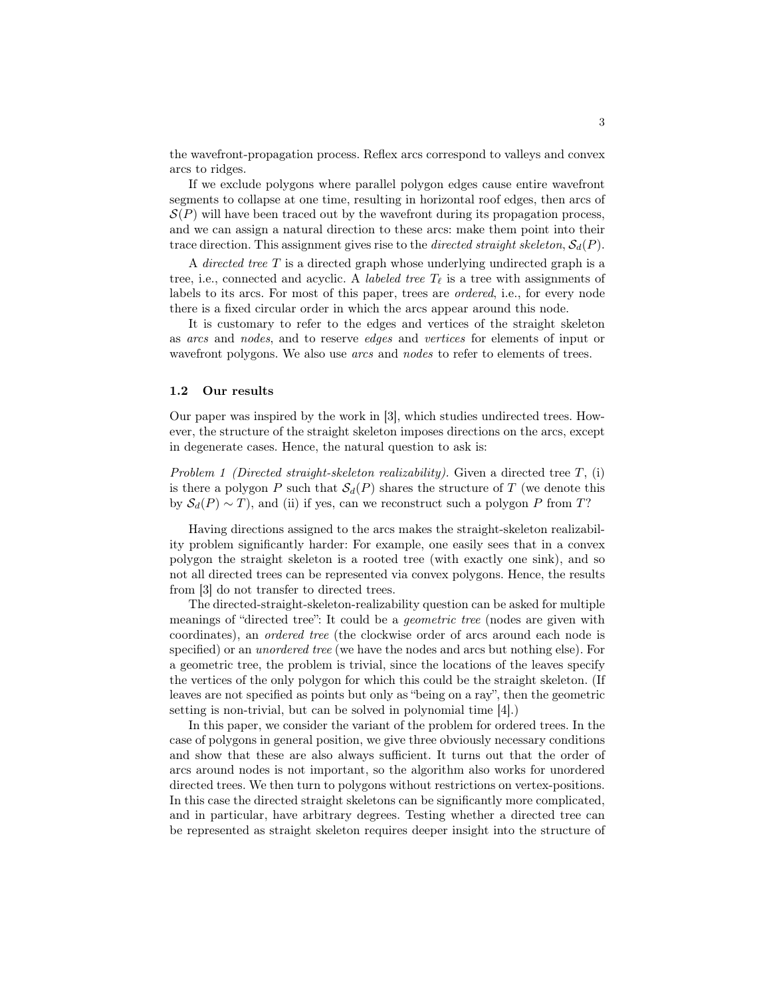the wavefront-propagation process. Reflex arcs correspond to valleys and convex arcs to ridges.

If we exclude polygons where parallel polygon edges cause entire wavefront segments to collapse at one time, resulting in horizontal roof edges, then arcs of  $S(P)$  will have been traced out by the wavefront during its propagation process, and we can assign a natural direction to these arcs: make them point into their trace direction. This assignment gives rise to the *directed straight skeleton*,  $S_d(P)$ .

A *directed tree*  $T$  is a directed graph whose underlying undirected graph is a tree, i.e., connected and acyclic. A *labeled tree*  $T_\ell$  is a tree with assignments of labels to its arcs. For most of this paper, trees are ordered, i.e., for every node there is a fixed circular order in which the arcs appear around this node.

It is customary to refer to the edges and vertices of the straight skeleton as arcs and nodes, and to reserve edges and vertices for elements of input or wavefront polygons. We also use *arcs* and *nodes* to refer to elements of trees.

#### 1.2 Our results

Our paper was inspired by the work in [\[3\]](#page-11-5), which studies undirected trees. However, the structure of the straight skeleton imposes directions on the arcs, except in degenerate cases. Hence, the natural question to ask is:

Problem 1 (Directed straight-skeleton realizability). Given a directed tree  $T$ , (i) is there a polygon P such that  $\mathcal{S}_d(P)$  shares the structure of T (we denote this by  $S_d(P) \sim T$ , and (ii) if yes, can we reconstruct such a polygon P from T?

Having directions assigned to the arcs makes the straight-skeleton realizability problem significantly harder: For example, one easily sees that in a convex polygon the straight skeleton is a rooted tree (with exactly one sink), and so not all directed trees can be represented via convex polygons. Hence, the results from [\[3\]](#page-11-5) do not transfer to directed trees.

The directed-straight-skeleton-realizability question can be asked for multiple meanings of "directed tree": It could be a geometric tree (nodes are given with coordinates), an ordered tree (the clockwise order of arcs around each node is specified) or an *unordered tree* (we have the nodes and arcs but nothing else). For a geometric tree, the problem is trivial, since the locations of the leaves specify the vertices of the only polygon for which this could be the straight skeleton. (If leaves are not specified as points but only as "being on a ray", then the geometric setting is non-trivial, but can be solved in polynomial time [\[4\]](#page-11-10).)

In this paper, we consider the variant of the problem for ordered trees. In the case of polygons in general position, we give three obviously necessary conditions and show that these are also always sufficient. It turns out that the order of arcs around nodes is not important, so the algorithm also works for unordered directed trees. We then turn to polygons without restrictions on vertex-positions. In this case the directed straight skeletons can be significantly more complicated, and in particular, have arbitrary degrees. Testing whether a directed tree can be represented as straight skeleton requires deeper insight into the structure of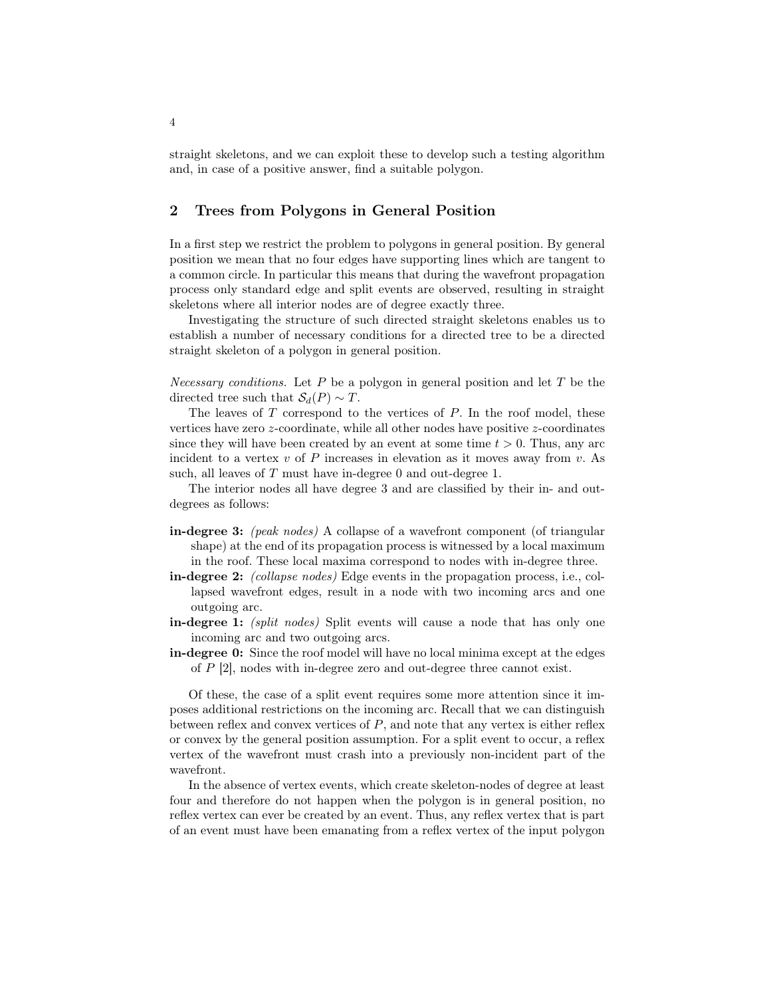straight skeletons, and we can exploit these to develop such a testing algorithm and, in case of a positive answer, find a suitable polygon.

# 2 Trees from Polygons in General Position

In a first step we restrict the problem to polygons in general position. By general position we mean that no four edges have supporting lines which are tangent to a common circle. In particular this means that during the wavefront propagation process only standard edge and split events are observed, resulting in straight skeletons where all interior nodes are of degree exactly three.

Investigating the structure of such directed straight skeletons enables us to establish a number of necessary conditions for a directed tree to be a directed straight skeleton of a polygon in general position.

*Necessary conditions.* Let  $P$  be a polygon in general position and let  $T$  be the directed tree such that  $\mathcal{S}_d(P) \sim T$ .

The leaves of  $T$  correspond to the vertices of  $P$ . In the roof model, these vertices have zero z-coordinate, while all other nodes have positive z-coordinates since they will have been created by an event at some time  $t > 0$ . Thus, any arc incident to a vertex  $v$  of  $P$  increases in elevation as it moves away from  $v$ . As such, all leaves of T must have in-degree 0 and out-degree 1.

The interior nodes all have degree 3 and are classified by their in- and outdegrees as follows:

- in-degree 3: (peak nodes) A collapse of a wavefront component (of triangular shape) at the end of its propagation process is witnessed by a local maximum in the roof. These local maxima correspond to nodes with in-degree three.
- in-degree 2: (collapse nodes) Edge events in the propagation process, i.e., collapsed wavefront edges, result in a node with two incoming arcs and one outgoing arc.
- in-degree 1: *(split nodes)* Split events will cause a node that has only one incoming arc and two outgoing arcs.
- in-degree 0: Since the roof model will have no local minima except at the edges of P [\[2\]](#page-11-6), nodes with in-degree zero and out-degree three cannot exist.

Of these, the case of a split event requires some more attention since it imposes additional restrictions on the incoming arc. Recall that we can distinguish between reflex and convex vertices of  $P$ , and note that any vertex is either reflex or convex by the general position assumption. For a split event to occur, a reflex vertex of the wavefront must crash into a previously non-incident part of the wavefront.

In the absence of vertex events, which create skeleton-nodes of degree at least four and therefore do not happen when the polygon is in general position, no reflex vertex can ever be created by an event. Thus, any reflex vertex that is part of an event must have been emanating from a reflex vertex of the input polygon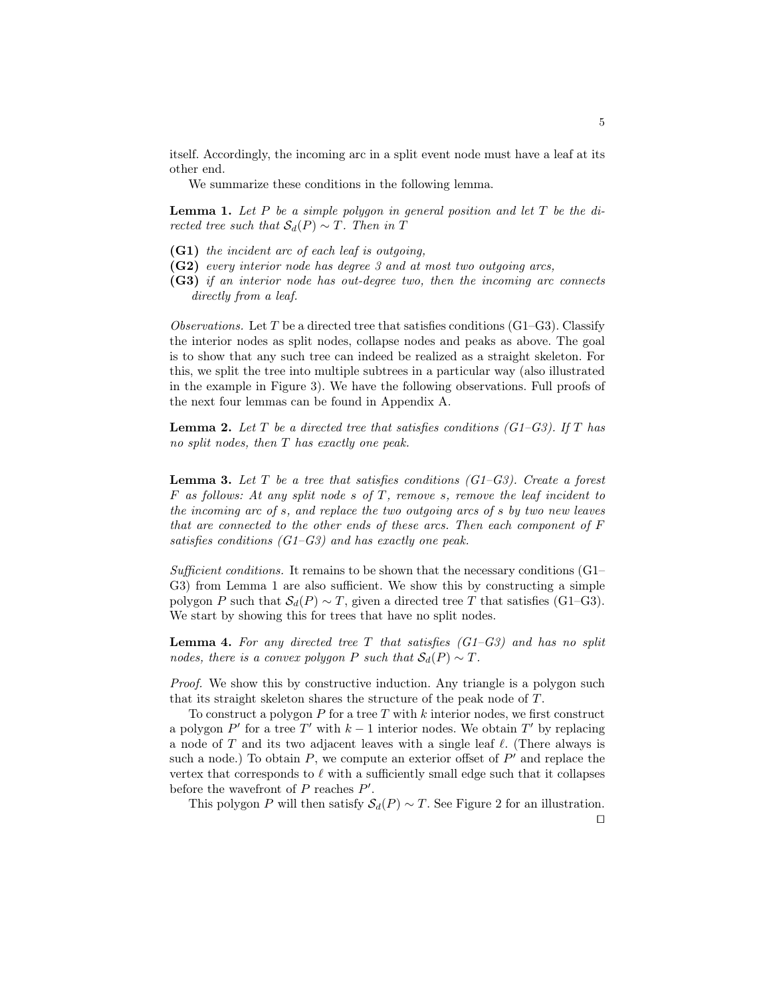itself. Accordingly, the incoming arc in a split event node must have a leaf at its other end.

We summarize these conditions in the following lemma.

<span id="page-4-0"></span>**Lemma 1.** Let P be a simple polygon in general position and let T be the directed tree such that  $S_d(P) \sim T$ . Then in T

- (G1) the incident arc of each leaf is outgoing,
- (G2) every interior node has degree 3 and at most two outgoing arcs,
- (G3) if an interior node has out-degree two, then the incoming arc connects directly from a leaf.

Observations. Let  $T$  be a directed tree that satisfies conditions (G1–G3). Classify the interior nodes as split nodes, collapse nodes and peaks as above. The goal is to show that any such tree can indeed be realized as a straight skeleton. For this, we split the tree into multiple subtrees in a particular way (also illustrated in the example in [Figure 3\)](#page-6-0). We have the following observations. Full proofs of the next four lemmas can be found in [Appendix A.](#page-12-0)

<span id="page-4-3"></span>**Lemma 2.** Let  $T$  be a directed tree that satisfies conditions (G1–G3). If  $T$  has no split nodes, then T has exactly one peak.

<span id="page-4-1"></span>**Lemma 3.** Let  $T$  be a tree that satisfies conditions  $(G1-G3)$ . Create a forest  $F$  as follows: At any split node s of  $T$ , remove s, remove the leaf incident to the incoming arc of s, and replace the two outgoing arcs of s by two new leaves that are connected to the other ends of these arcs. Then each component of F satisfies conditions  $(G1-G3)$  and has exactly one peak.

Sufficient conditions. It remains to be shown that the necessary conditions (G1– G3) from [Lemma 1](#page-4-0) are also sufficient. We show this by constructing a simple polygon P such that  $\mathcal{S}_d(P) \sim T$ , given a directed tree T that satisfies (G1–G3). We start by showing this for trees that have no split nodes.

<span id="page-4-2"></span>**Lemma 4.** For any directed tree T that satisfies  $(G1-G3)$  and has no split nodes, there is a convex polygon P such that  $\mathcal{S}_d(P) \sim T$ .

Proof. We show this by constructive induction. Any triangle is a polygon such that its straight skeleton shares the structure of the peak node of T.

To construct a polygon  $P$  for a tree  $T$  with  $k$  interior nodes, we first construct a polygon  $P'$  for a tree T' with  $k-1$  interior nodes. We obtain T' by replacing a node of T and its two adjacent leaves with a single leaf  $\ell$ . (There always is such a node.) To obtain  $P$ , we compute an exterior offset of  $P'$  and replace the vertex that corresponds to  $\ell$  with a sufficiently small edge such that it collapses before the wavefront of  $P$  reaches  $P'$ .

This polygon P will then satisfy  $S_d(P) \sim T$ . See [Figure 2](#page-5-0) for an illustration.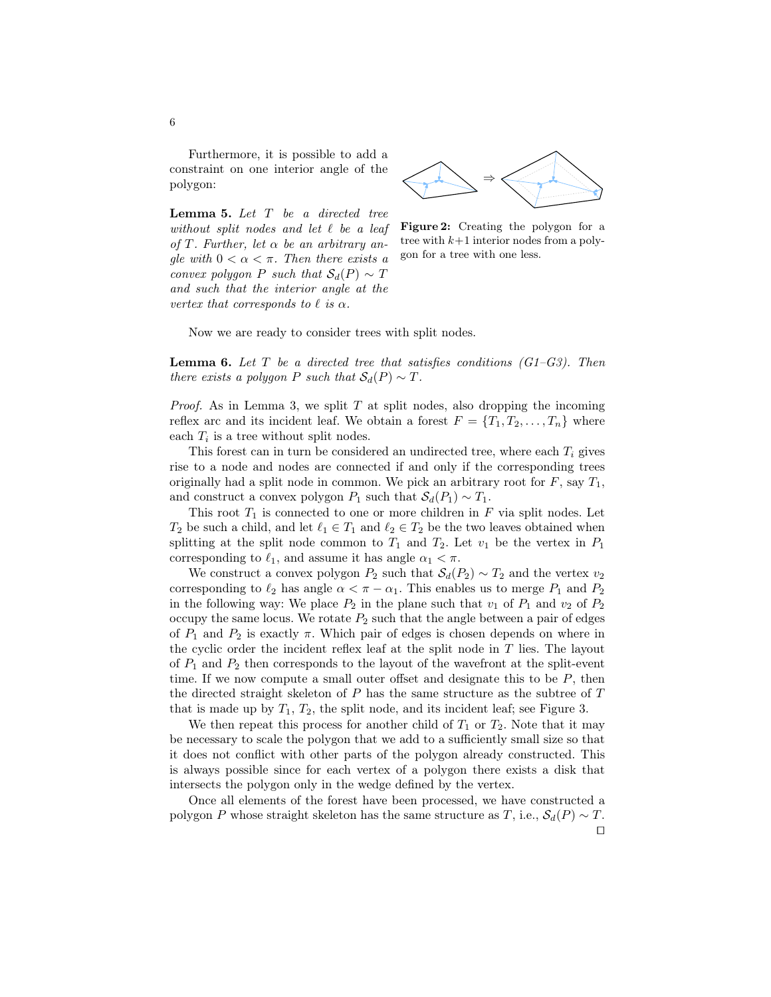Furthermore, it is possible to add a constraint on one interior angle of the polygon:

<span id="page-5-0"></span>

<span id="page-5-2"></span>**Lemma 5.** Let  $T$  be a directed tree without split nodes and let  $\ell$  be a leaf of T. Further, let  $\alpha$  be an arbitrary angle with  $0 < \alpha < \pi$ . Then there exists a convex polygon P such that  $S_d(P) \sim T$ and such that the interior angle at the vertex that corresponds to  $\ell$  is  $\alpha$ .

Figure 2: Creating the polygon for a tree with  $k+1$  interior nodes from a polygon for a tree with one less.

Now we are ready to consider trees with split nodes.

<span id="page-5-1"></span>**Lemma 6.** Let T be a directed tree that satisfies conditions  $(G1-G3)$ . Then there exists a polygon P such that  $S_d(P) \sim T$ .

*Proof.* As in [Lemma 3,](#page-4-1) we split T at split nodes, also dropping the incoming reflex arc and its incident leaf. We obtain a forest  $F = \{T_1, T_2, \ldots, T_n\}$  where each  $T_i$  is a tree without split nodes.

This forest can in turn be considered an undirected tree, where each  $T_i$  gives rise to a node and nodes are connected if and only if the corresponding trees originally had a split node in common. We pick an arbitrary root for  $F$ , say  $T_1$ , and construct a convex polygon  $P_1$  such that  $\mathcal{S}_d(P_1) \sim T_1$ .

This root  $T_1$  is connected to one or more children in  $F$  via split nodes. Let  $T_2$  be such a child, and let  $\ell_1 \in T_1$  and  $\ell_2 \in T_2$  be the two leaves obtained when splitting at the split node common to  $T_1$  and  $T_2$ . Let  $v_1$  be the vertex in  $P_1$ corresponding to  $\ell_1$ , and assume it has angle  $\alpha_1 < \pi$ .

We construct a convex polygon  $P_2$  such that  $\mathcal{S}_d(P_2) \sim T_2$  and the vertex  $v_2$ corresponding to  $\ell_2$  has angle  $\alpha < \pi - \alpha_1$ . This enables us to merge  $P_1$  and  $P_2$ in the following way: We place  $P_2$  in the plane such that  $v_1$  of  $P_1$  and  $v_2$  of  $P_2$ occupy the same locus. We rotate  $P_2$  such that the angle between a pair of edges of  $P_1$  and  $P_2$  is exactly  $\pi$ . Which pair of edges is chosen depends on where in the cyclic order the incident reflex leaf at the split node in  $T$  lies. The layout of  $P_1$  and  $P_2$  then corresponds to the layout of the wavefront at the split-event time. If we now compute a small outer offset and designate this to be  $P$ , then the directed straight skeleton of P has the same structure as the subtree of T that is made up by  $T_1, T_2$ , the split node, and its incident leaf; see [Figure 3.](#page-6-0)

We then repeat this process for another child of  $T_1$  or  $T_2$ . Note that it may be necessary to scale the polygon that we add to a sufficiently small size so that it does not conflict with other parts of the polygon already constructed. This is always possible since for each vertex of a polygon there exists a disk that intersects the polygon only in the wedge defined by the vertex.

Once all elements of the forest have been processed, we have constructed a polygon P whose straight skeleton has the same structure as T, i.e.,  $\mathcal{S}_d(P) \sim T$ .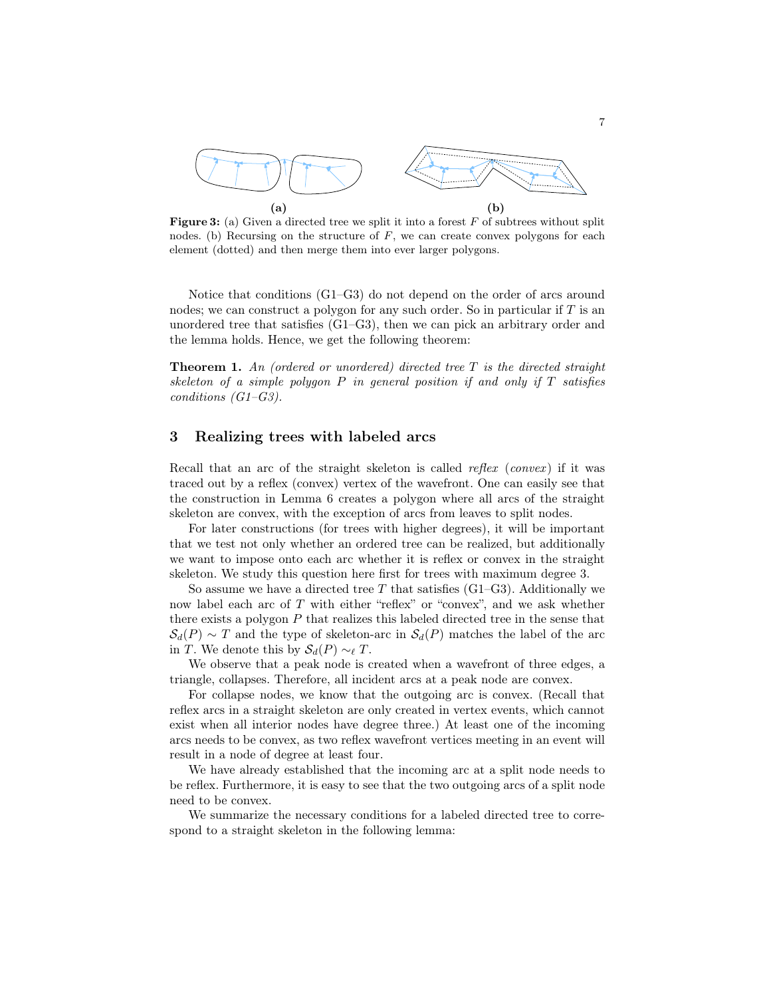<span id="page-6-0"></span>

**Figure 3:** (a) Given a directed tree we split it into a forest  $F$  of subtrees without split nodes. (b) Recursing on the structure of  $F$ , we can create convex polygons for each element (dotted) and then merge them into ever larger polygons.

Notice that conditions (G1–G3) do not depend on the order of arcs around nodes; we can construct a polygon for any such order. So in particular if  $T$  is an unordered tree that satisfies (G1–G3), then we can pick an arbitrary order and the lemma holds. Hence, we get the following theorem:

**Theorem 1.** An (ordered or unordered) directed tree  $T$  is the directed straight skeleton of a simple polygon  $P$  in general position if and only if  $T$  satisfies conditions (G1–G3).

# 3 Realizing trees with labeled arcs

Recall that an arc of the straight skeleton is called reflex (convex) if it was traced out by a reflex (convex) vertex of the wavefront. One can easily see that the construction in [Lemma 6](#page-5-1) creates a polygon where all arcs of the straight skeleton are convex, with the exception of arcs from leaves to split nodes.

For later constructions (for trees with higher degrees), it will be important that we test not only whether an ordered tree can be realized, but additionally we want to impose onto each arc whether it is reflex or convex in the straight skeleton. We study this question here first for trees with maximum degree 3.

So assume we have a directed tree  $T$  that satisfies (G1–G3). Additionally we now label each arc of T with either "reflex" or "convex", and we ask whether there exists a polygon  $P$  that realizes this labeled directed tree in the sense that  $\mathcal{S}_d(P) \sim T$  and the type of skeleton-arc in  $\mathcal{S}_d(P)$  matches the label of the arc in T. We denote this by  $\mathcal{S}_d(P) \sim_{\ell} T$ .

We observe that a peak node is created when a wavefront of three edges, a triangle, collapses. Therefore, all incident arcs at a peak node are convex.

For collapse nodes, we know that the outgoing arc is convex. (Recall that reflex arcs in a straight skeleton are only created in vertex events, which cannot exist when all interior nodes have degree three.) At least one of the incoming arcs needs to be convex, as two reflex wavefront vertices meeting in an event will result in a node of degree at least four.

We have already established that the incoming arc at a split node needs to be reflex. Furthermore, it is easy to see that the two outgoing arcs of a split node need to be convex.

<span id="page-6-1"></span>We summarize the necessary conditions for a labeled directed tree to correspond to a straight skeleton in the following lemma: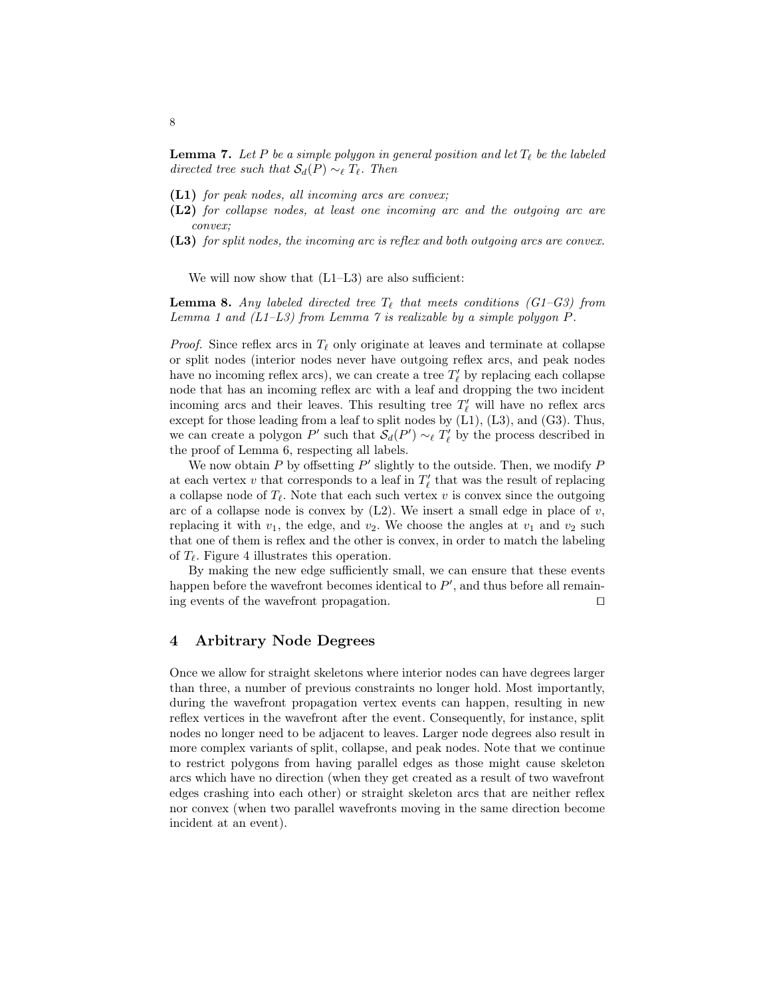**Lemma 7.** Let P be a simple polygon in general position and let  $T_{\ell}$  be the labeled directed tree such that  $\mathcal{S}_d(P) \sim_{\ell} T_{\ell}$ . Then

(L1) for peak nodes, all incoming arcs are convex;

- (L2) for collapse nodes, at least one incoming arc and the outgoing arc are convex;
- (L3) for split nodes, the incoming arc is reflex and both outgoing arcs are convex.

We will now show that  $(L1-L3)$  are also sufficient:

**Lemma 8.** Any labeled directed tree  $T_{\ell}$  that meets conditions (G1–G3) from [Lemma 1](#page-4-0) and  $(L1-L3)$  from [Lemma 7](#page-6-1) is realizable by a simple polygon P.

*Proof.* Since reflex arcs in  $T_{\ell}$  only originate at leaves and terminate at collapse or split nodes (interior nodes never have outgoing reflex arcs, and peak nodes have no incoming reflex arcs), we can create a tree  $T'_\ell$  by replacing each collapse node that has an incoming reflex arc with a leaf and dropping the two incident incoming arcs and their leaves. This resulting tree  $T'_{\ell}$  will have no reflex arcs except for those leading from a leaf to split nodes by (L1), (L3), and (G3). Thus, we can create a polygon  $P'$  such that  $\mathcal{S}_d(P') \sim_{\ell} T'_{\ell}$  by the process described in the proof of [Lemma 6,](#page-5-1) respecting all labels.

We now obtain  $P$  by offsetting  $P'$  slightly to the outside. Then, we modify  $P$ at each vertex  $v$  that corresponds to a leaf in  $T'_\ell$  that was the result of replacing a collapse node of  $T_\ell$ . Note that each such vertex v is convex since the outgoing arc of a collapse node is convex by  $(L2)$ . We insert a small edge in place of v, replacing it with  $v_1$ , the edge, and  $v_2$ . We choose the angles at  $v_1$  and  $v_2$  such that one of them is reflex and the other is convex, in order to match the labeling of  $T_{\ell}$ . [Figure 4](#page-8-0) illustrates this operation.

By making the new edge sufficiently small, we can ensure that these events happen before the wavefront becomes identical to  $P'$ , and thus before all remaining events of the wavefront propagation.  $\Box$ 

### 4 Arbitrary Node Degrees

Once we allow for straight skeletons where interior nodes can have degrees larger than three, a number of previous constraints no longer hold. Most importantly, during the wavefront propagation vertex events can happen, resulting in new reflex vertices in the wavefront after the event. Consequently, for instance, split nodes no longer need to be adjacent to leaves. Larger node degrees also result in more complex variants of split, collapse, and peak nodes. Note that we continue to restrict polygons from having parallel edges as those might cause skeleton arcs which have no direction (when they get created as a result of two wavefront edges crashing into each other) or straight skeleton arcs that are neither reflex nor convex (when two parallel wavefronts moving in the same direction become incident at an event).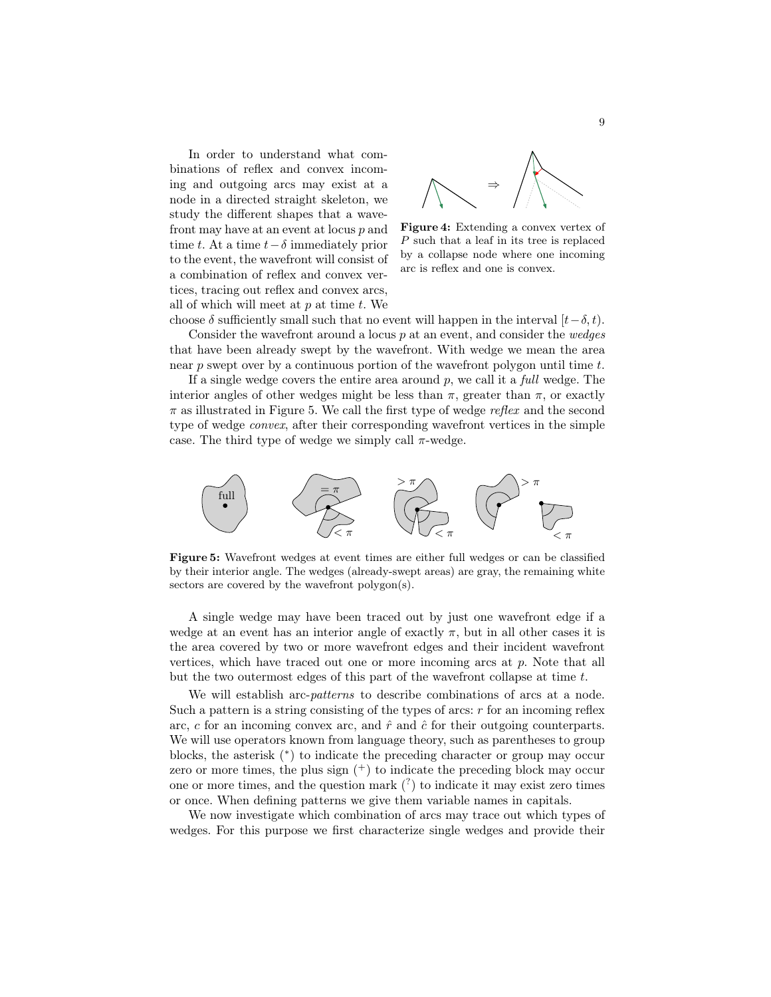In order to understand what combinations of reflex and convex incoming and outgoing arcs may exist at a node in a directed straight skeleton, we study the different shapes that a wavefront may have at an event at locus  $p$  and time t. At a time  $t-\delta$  immediately prior to the event, the wavefront will consist of a combination of reflex and convex vertices, tracing out reflex and convex arcs, all of which will meet at  $p$  at time  $t$ . We

<span id="page-8-0"></span>

Figure 4: Extending a convex vertex of P such that a leaf in its tree is replaced by a collapse node where one incoming arc is reflex and one is convex.

choose  $\delta$  sufficiently small such that no event will happen in the interval  $[t-\delta, t)$ . Consider the wavefront around a locus  $p$  at an event, and consider the *wedges* that have been already swept by the wavefront. With wedge we mean the area near p swept over by a continuous portion of the wavefront polygon until time  $t$ .

If a single wedge covers the entire area around  $p$ , we call it a *full* wedge. The interior angles of other wedges might be less than  $\pi$ , greater than  $\pi$ , or exactly  $\pi$  as illustrated in [Figure 5.](#page-8-1) We call the first type of wedge *reflex* and the second type of wedge *convex*, after their corresponding wavefront vertices in the simple case. The third type of wedge we simply call  $\pi$ -wedge.

<span id="page-8-1"></span>

Figure 5: Wavefront wedges at event times are either full wedges or can be classified by their interior angle. The wedges (already-swept areas) are gray, the remaining white sectors are covered by the wavefront polygon(s).

A single wedge may have been traced out by just one wavefront edge if a wedge at an event has an interior angle of exactly  $\pi$ , but in all other cases it is the area covered by two or more wavefront edges and their incident wavefront vertices, which have traced out one or more incoming arcs at  $p$ . Note that all but the two outermost edges of this part of the wavefront collapse at time t.

We will establish arc-*patterns* to describe combinations of arcs at a node. Such a pattern is a string consisting of the types of arcs:  $r$  for an incoming reflex arc, c for an incoming convex arc, and  $\hat{r}$  and  $\hat{c}$  for their outgoing counterparts. We will use operators known from language theory, such as parentheses to group blocks, the asterisk (\*) to indicate the preceding character or group may occur zero or more times, the plus sign  $(+)$  to indicate the preceding block may occur one or more times, and the question mark ( ? ) to indicate it may exist zero times or once. When defining patterns we give them variable names in capitals.

We now investigate which combination of arcs may trace out which types of wedges. For this purpose we first characterize single wedges and provide their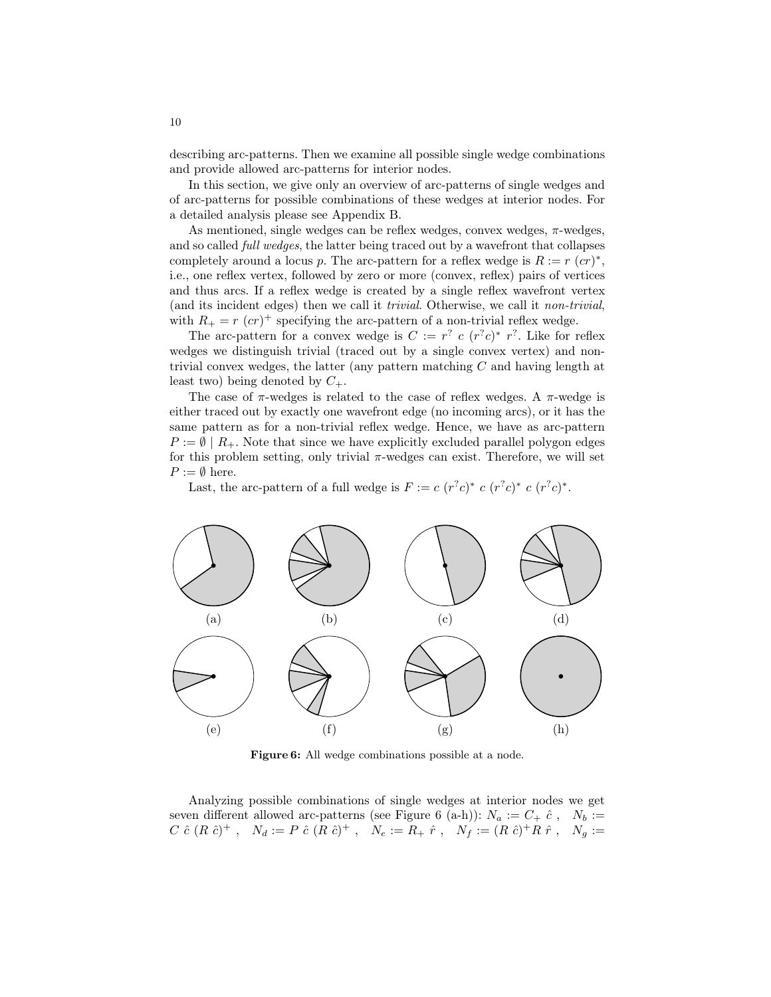describing arc-patterns. Then we examine all possible single wedge combinations and provide allowed arc-patterns for interior nodes.

In this section, we give only an overview of arc-patterns of single wedges and of arc-patterns for possible combinations of these wedges at interior nodes. For a detailed analysis please see [Appendix B.](#page-14-0)

As mentioned, single wedges can be reflex wedges, convex wedges,  $\pi$ -wedges, and so called *full wedges*, the latter being traced out by a wavefront that collapses completely around a locus p. The arc-pattern for a reflex wedge is  $R := r (cr)^*,$ i.e., one reflex vertex, followed by zero or more (convex, reflex) pairs of vertices and thus arcs. If a reflex wedge is created by a single reflex wavefront vertex (and its incident edges) then we call it trivial. Otherwise, we call it non-trivial, with  $R_+ = r \, (c r)^+$  specifying the arc-pattern of a non-trivial reflex wedge.

The arc-pattern for a convex wedge is  $C := r^2 c (r^2 c)^* r^2$ . Like for reflex wedges we distinguish trivial (traced out by a single convex vertex) and nontrivial convex wedges, the latter (any pattern matching C and having length at least two) being denoted by  $C_+$ .

The case of  $\pi$ -wedges is related to the case of reflex wedges. A  $\pi$ -wedge is either traced out by exactly one wavefront edge (no incoming arcs), or it has the same pattern as for a non-trivial reflex wedge. Hence, we have as arc-pattern  $P := \emptyset \mid R_+$ . Note that since we have explicitly excluded parallel polygon edges for this problem setting, only trivial  $\pi$ -wedges can exist. Therefore, we will set  $P := \emptyset$  here.

Last, the arc-pattern of a full wedge is  $F := c (r^2 c)^* c (r^2 c)^* c (r^2 c)^*$ .

<span id="page-9-0"></span>

Figure 6: All wedge combinations possible at a node.

Analyzing possible combinations of single wedges at interior nodes we get seven different allowed arc-patterns (see [Figure 6](#page-9-0) (a-h)):  $N_a := C_+ \hat{c}$ ,  $N_b :=$  $C \hat{c} (R \hat{c})^+$ ,  $N_d := P \hat{c} (R \hat{c})^+$ ,  $N_e := R_+ \hat{r}$ ,  $N_f := (R \hat{c})^+ R \hat{r}$ ,  $N_g :=$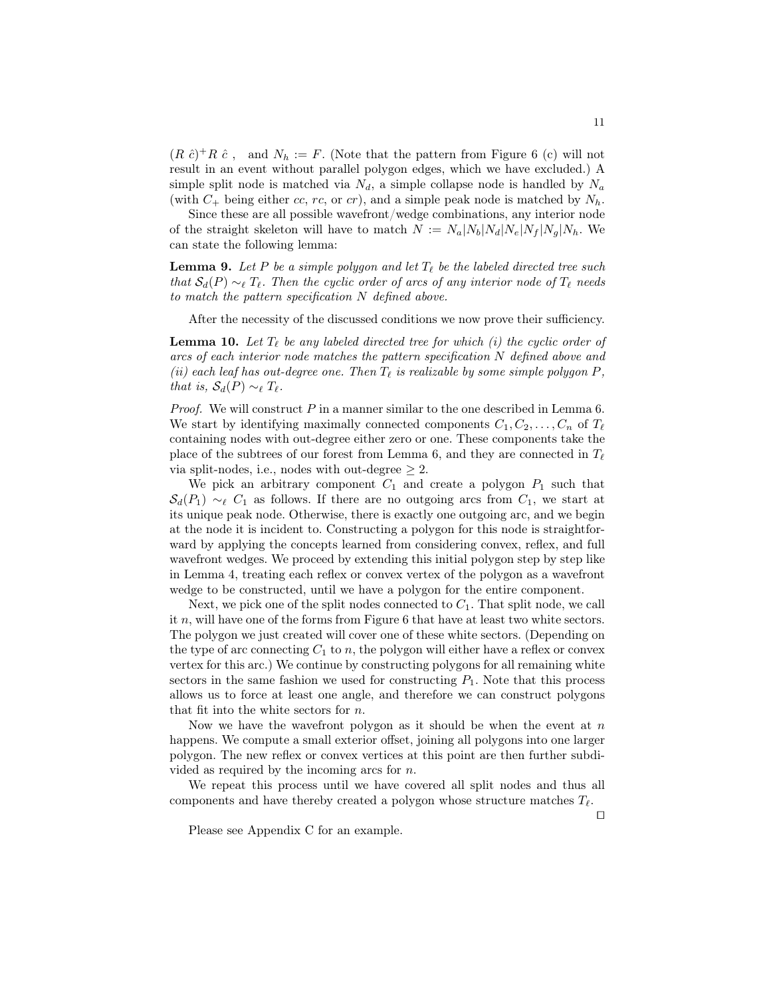$(R \hat{c})^+ R \hat{c}$ , and  $N_h := F$ . (Note that the pattern from [Figure 6](#page-9-0) (c) will not result in an event without parallel polygon edges, which we have excluded.) A simple split node is matched via  $N_d$ , a simple collapse node is handled by  $N_a$ (with  $C_+$  being either cc, rc, or cr), and a simple peak node is matched by  $N_h$ .

Since these are all possible wavefront/wedge combinations, any interior node of the straight skeleton will have to match  $N := N_a|N_b|N_d|N_e|N_f|N_a|N_h$ . We can state the following lemma:

<span id="page-10-0"></span>**Lemma 9.** Let P be a simple polygon and let  $T_{\ell}$  be the labeled directed tree such that  $S_d(P) \sim_{\ell} T_{\ell}$ . Then the cyclic order of arcs of any interior node of  $T_{\ell}$  needs to match the pattern specification N defined above.

After the necessity of the discussed conditions we now prove their sufficiency.

<span id="page-10-1"></span>**Lemma 10.** Let  $T_\ell$  be any labeled directed tree for which (i) the cyclic order of arcs of each interior node matches the pattern specification N defined above and (ii) each leaf has out-degree one. Then  $T_{\ell}$  is realizable by some simple polygon P, that is,  $S_d(P) \sim_{\ell} T_{\ell}$ .

*Proof.* We will construct  $P$  in a manner similar to the one described in [Lemma 6.](#page-5-1) We start by identifying maximally connected components  $C_1, C_2, \ldots, C_n$  of  $T_\ell$ containing nodes with out-degree either zero or one. These components take the place of the subtrees of our forest from [Lemma 6,](#page-5-1) and they are connected in  $T_{\ell}$ via split-nodes, i.e., nodes with out-degree  $\geq 2$ .

We pick an arbitrary component  $C_1$  and create a polygon  $P_1$  such that  $\mathcal{S}_d(P_1) \sim_{\ell} C_1$  as follows. If there are no outgoing arcs from  $C_1$ , we start at its unique peak node. Otherwise, there is exactly one outgoing arc, and we begin at the node it is incident to. Constructing a polygon for this node is straightforward by applying the concepts learned from considering convex, reflex, and full wavefront wedges. We proceed by extending this initial polygon step by step like in [Lemma 4,](#page-4-2) treating each reflex or convex vertex of the polygon as a wavefront wedge to be constructed, until we have a polygon for the entire component.

Next, we pick one of the split nodes connected to  $C_1$ . That split node, we call it  $n$ , will have one of the forms from [Figure 6](#page-9-0) that have at least two white sectors. The polygon we just created will cover one of these white sectors. (Depending on the type of arc connecting  $C_1$  to n, the polygon will either have a reflex or convex vertex for this arc.) We continue by constructing polygons for all remaining white sectors in the same fashion we used for constructing  $P_1$ . Note that this process allows us to force at least one angle, and therefore we can construct polygons that fit into the white sectors for  $n$ .

Now we have the wavefront polygon as it should be when the event at  $n$ happens. We compute a small exterior offset, joining all polygons into one larger polygon. The new reflex or convex vertices at this point are then further subdivided as required by the incoming arcs for n.

We repeat this process until we have covered all split nodes and thus all components and have thereby created a polygon whose structure matches  $T_{\ell}$ .

Please see [Appendix C](#page-18-0) for an example.

 $\Box$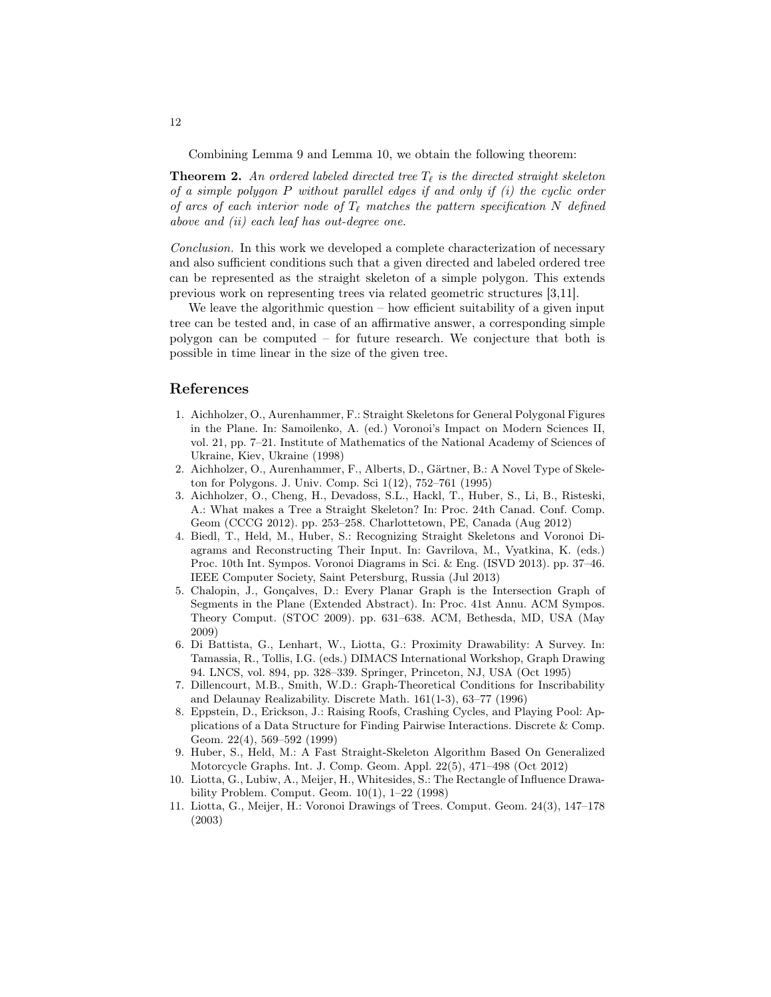Combining [Lemma 9](#page-10-0) and [Lemma 10,](#page-10-1) we obtain the following theorem:

**Theorem 2.** An ordered labeled directed tree  $T_{\ell}$  is the directed straight skeleton of a simple polygon P without parallel edges if and only if (i) the cyclic order of arcs of each interior node of  $T_{\ell}$  matches the pattern specification N defined above and (ii) each leaf has out-degree one.

Conclusion. In this work we developed a complete characterization of necessary and also sufficient conditions such that a given directed and labeled ordered tree can be represented as the straight skeleton of a simple polygon. This extends previous work on representing trees via related geometric structures [\[3,](#page-11-5)[11\]](#page-11-4).

We leave the algorithmic question – how efficient suitability of a given input tree can be tested and, in case of an affirmative answer, a corresponding simple polygon can be computed – for future research. We conjecture that both is possible in time linear in the size of the given tree.

### References

- <span id="page-11-7"></span>1. Aichholzer, O., Aurenhammer, F.: Straight Skeletons for General Polygonal Figures in the Plane. In: Samoilenko, A. (ed.) Voronoi's Impact on Modern Sciences II, vol. 21, pp. 7–21. Institute of Mathematics of the National Academy of Sciences of Ukraine, Kiev, Ukraine (1998)
- <span id="page-11-6"></span>2. Aichholzer, O., Aurenhammer, F., Alberts, D., Gärtner, B.: A Novel Type of Skeleton for Polygons. J. Univ. Comp. Sci 1(12), 752–761 (1995)
- <span id="page-11-5"></span>3. Aichholzer, O., Cheng, H., Devadoss, S.L., Hackl, T., Huber, S., Li, B., Risteski, A.: What makes a Tree a Straight Skeleton? In: Proc. 24th Canad. Conf. Comp. Geom (CCCG 2012). pp. 253–258. Charlottetown, PE, Canada (Aug 2012)
- <span id="page-11-10"></span>4. Biedl, T., Held, M., Huber, S.: Recognizing Straight Skeletons and Voronoi Diagrams and Reconstructing Their Input. In: Gavrilova, M., Vyatkina, K. (eds.) Proc. 10th Int. Sympos. Voronoi Diagrams in Sci. & Eng. (ISVD 2013). pp. 37–46. IEEE Computer Society, Saint Petersburg, Russia (Jul 2013)
- <span id="page-11-0"></span>5. Chalopin, J., Gonçalves, D.: Every Planar Graph is the Intersection Graph of Segments in the Plane (Extended Abstract). In: Proc. 41st Annu. ACM Sympos. Theory Comput. (STOC 2009). pp. 631–638. ACM, Bethesda, MD, USA (May 2009)
- <span id="page-11-3"></span>6. Di Battista, G., Lenhart, W., Liotta, G.: Proximity Drawability: A Survey. In: Tamassia, R., Tollis, I.G. (eds.) DIMACS International Workshop, Graph Drawing 94. LNCS, vol. 894, pp. 328–339. Springer, Princeton, NJ, USA (Oct 1995)
- <span id="page-11-2"></span>7. Dillencourt, M.B., Smith, W.D.: Graph-Theoretical Conditions for Inscribability and Delaunay Realizability. Discrete Math. 161(1-3), 63–77 (1996)
- <span id="page-11-8"></span>8. Eppstein, D., Erickson, J.: Raising Roofs, Crashing Cycles, and Playing Pool: Applications of a Data Structure for Finding Pairwise Interactions. Discrete & Comp. Geom. 22(4), 569–592 (1999)
- <span id="page-11-9"></span>9. Huber, S., Held, M.: A Fast Straight-Skeleton Algorithm Based On Generalized Motorcycle Graphs. Int. J. Comp. Geom. Appl. 22(5), 471–498 (Oct 2012)
- <span id="page-11-1"></span>10. Liotta, G., Lubiw, A., Meijer, H., Whitesides, S.: The Rectangle of Influence Drawability Problem. Comput. Geom. 10(1), 1–22 (1998)
- <span id="page-11-4"></span>11. Liotta, G., Meijer, H.: Voronoi Drawings of Trees. Comput. Geom. 24(3), 147–178 (2003)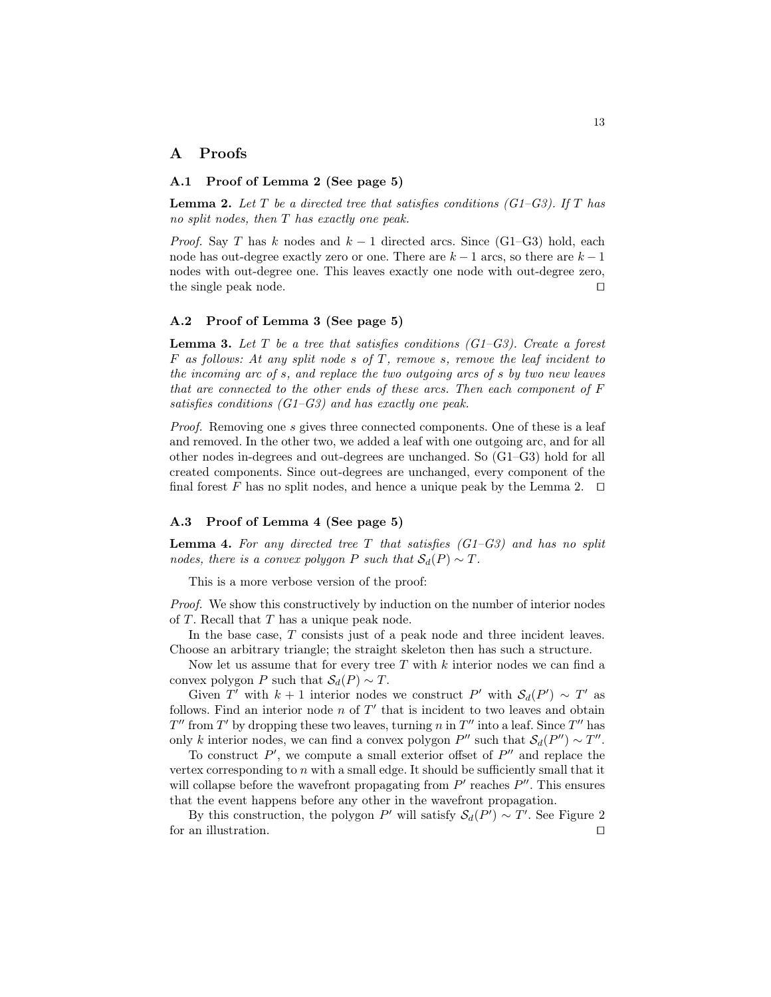# <span id="page-12-0"></span>A Proofs

### A.1 Proof of [Lemma 2](#page-4-3) (See page [5\)](#page-4-3)

**Lemma 2.** Let T be a directed tree that satisfies conditions (G1–G3). If T has no split nodes, then T has exactly one peak.

*Proof.* Say T has k nodes and  $k - 1$  directed arcs. Since (G1–G3) hold, each node has out-degree exactly zero or one. There are  $k-1$  arcs, so there are  $k-1$ nodes with out-degree one. This leaves exactly one node with out-degree zero, the single peak node.  $\Box$ 

#### A.2 Proof of [Lemma 3](#page-4-1) (See page [5\)](#page-4-1)

**Lemma 3.** Let  $T$  be a tree that satisfies conditions (G1–G3). Create a forest  $F$  as follows: At any split node s of  $T$ , remove s, remove the leaf incident to the incoming arc of s, and replace the two outgoing arcs of s by two new leaves that are connected to the other ends of these arcs. Then each component of F satisfies conditions (G1–G3) and has exactly one peak.

Proof. Removing one s gives three connected components. One of these is a leaf and removed. In the other two, we added a leaf with one outgoing arc, and for all other nodes in-degrees and out-degrees are unchanged. So (G1–G3) hold for all created components. Since out-degrees are unchanged, every component of the final forest F has no split nodes, and hence a unique peak by the [Lemma 2.](#page-4-3)  $\square$ 

#### A.3 Proof of [Lemma 4](#page-4-2) (See page [5\)](#page-4-2)

**Lemma 4.** For any directed tree T that satisfies  $(G1-G3)$  and has no split nodes, there is a convex polygon P such that  $S_d(P) \sim T$ .

This is a more verbose version of the proof:

Proof. We show this constructively by induction on the number of interior nodes of T. Recall that T has a unique peak node.

In the base case, T consists just of a peak node and three incident leaves. Choose an arbitrary triangle; the straight skeleton then has such a structure.

Now let us assume that for every tree  $T$  with  $k$  interior nodes we can find a convex polygon P such that  $S_d(P) \sim T$ .

Given T' with  $k + 1$  interior nodes we construct P' with  $S_d(P') \sim T'$  as follows. Find an interior node  $n$  of  $T'$  that is incident to two leaves and obtain  $T''$  from  $T'$  by dropping these two leaves, turning n in  $T''$  into a leaf. Since  $T''$  has only k interior nodes, we can find a convex polygon  $P''$  such that  $\mathcal{S}_d(P'') \sim T''$ .

To construct  $P'$ , we compute a small exterior offset of  $P''$  and replace the vertex corresponding to  $n$  with a small edge. It should be sufficiently small that it will collapse before the wavefront propagating from  $P'$  reaches  $P''$ . This ensures that the event happens before any other in the wavefront propagation.

By this construction, the polygon  $P'$  will satisfy  $\mathcal{S}_d(P') \sim T'$ . See [Figure 2](#page-5-0) for an illustration.  $\Box$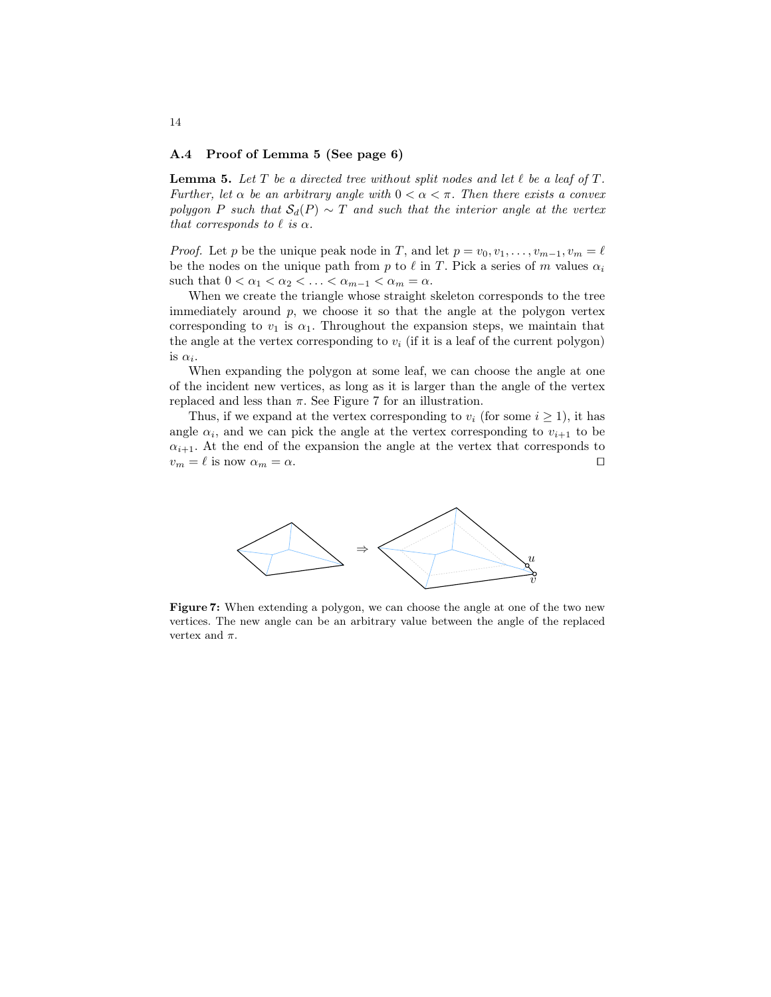#### A.4 Proof of [Lemma 5](#page-5-2) (See page [6\)](#page-5-2)

**Lemma 5.** Let T be a directed tree without split nodes and let  $\ell$  be a leaf of T. Further, let  $\alpha$  be an arbitrary angle with  $0 < \alpha < \pi$ . Then there exists a convex polygon P such that  $S_d(P) \sim T$  and such that the interior angle at the vertex that corresponds to  $\ell$  is  $\alpha$ .

*Proof.* Let p be the unique peak node in T, and let  $p = v_0, v_1, \ldots, v_{m-1}, v_m = \ell$ be the nodes on the unique path from p to  $\ell$  in T. Pick a series of m values  $\alpha_i$ such that  $0 < \alpha_1 < \alpha_2 < \ldots < \alpha_{m-1} < \alpha_m = \alpha$ .

When we create the triangle whose straight skeleton corresponds to the tree immediately around  $p$ , we choose it so that the angle at the polygon vertex corresponding to  $v_1$  is  $\alpha_1$ . Throughout the expansion steps, we maintain that the angle at the vertex corresponding to  $v_i$  (if it is a leaf of the current polygon) is  $\alpha_i$ .

When expanding the polygon at some leaf, we can choose the angle at one of the incident new vertices, as long as it is larger than the angle of the vertex replaced and less than π. See [Figure 7](#page-13-0) for an illustration.

Thus, if we expand at the vertex corresponding to  $v_i$  (for some  $i \geq 1$ ), it has angle  $\alpha_i$ , and we can pick the angle at the vertex corresponding to  $v_{i+1}$  to be  $\alpha_{i+1}$ . At the end of the expansion the angle at the vertex that corresponds to  $v_m = \ell$  is now  $\alpha_m = \alpha$ .

<span id="page-13-0"></span>

Figure 7: When extending a polygon, we can choose the angle at one of the two new vertices. The new angle can be an arbitrary value between the angle of the replaced vertex and  $\pi$ .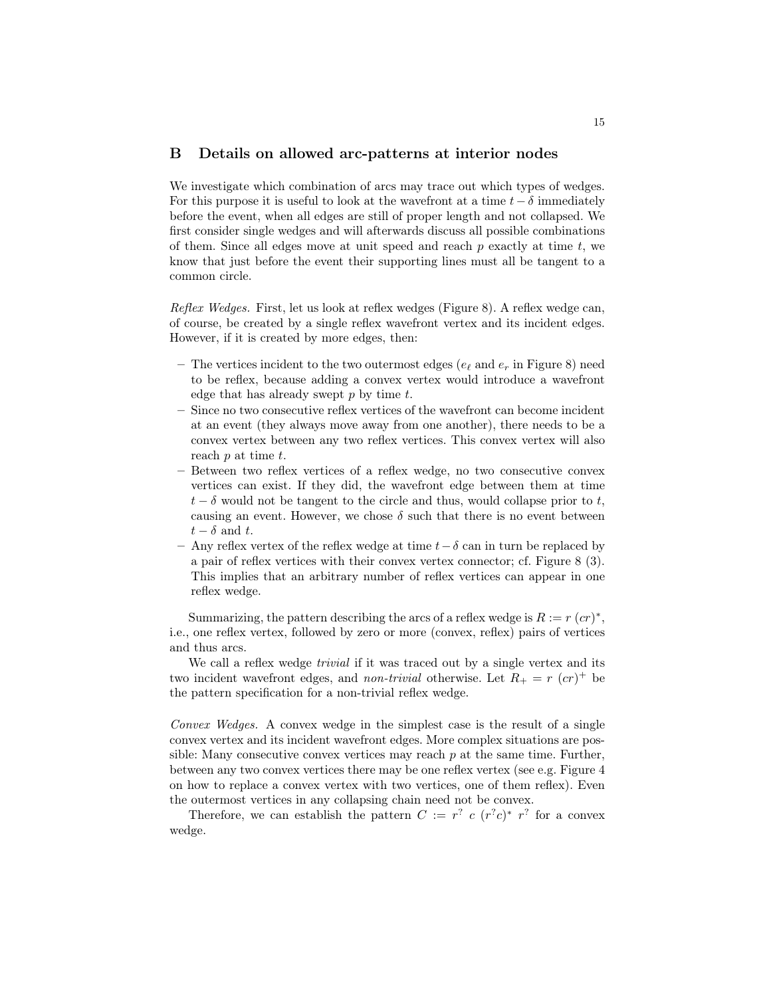### <span id="page-14-0"></span>B Details on allowed arc-patterns at interior nodes

We investigate which combination of arcs may trace out which types of wedges. For this purpose it is useful to look at the wavefront at a time  $t-\delta$  immediately before the event, when all edges are still of proper length and not collapsed. We first consider single wedges and will afterwards discuss all possible combinations of them. Since all edges move at unit speed and reach  $p$  exactly at time  $t$ , we know that just before the event their supporting lines must all be tangent to a common circle.

Reflex Wedges. First, let us look at reflex wedges [\(Figure 8\)](#page-15-0). A reflex wedge can, of course, be created by a single reflex wavefront vertex and its incident edges. However, if it is created by more edges, then:

- The vertices incident to the two outermost edges ( $e_\ell$  and  $e_r$  in [Figure 8\)](#page-15-0) need to be reflex, because adding a convex vertex would introduce a wavefront edge that has already swept  $p$  by time  $t$ .
- Since no two consecutive reflex vertices of the wavefront can become incident at an event (they always move away from one another), there needs to be a convex vertex between any two reflex vertices. This convex vertex will also reach  $p$  at time  $t$ .
- Between two reflex vertices of a reflex wedge, no two consecutive convex vertices can exist. If they did, the wavefront edge between them at time  $t - \delta$  would not be tangent to the circle and thus, would collapse prior to t, causing an event. However, we chose  $\delta$  such that there is no event between  $t - \delta$  and t.
- Any reflex vertex of the reflex wedge at time t−δ can in turn be replaced by a pair of reflex vertices with their convex vertex connector; cf. [Figure 8](#page-15-0) (3). This implies that an arbitrary number of reflex vertices can appear in one reflex wedge.

Summarizing, the pattern describing the arcs of a reflex wedge is  $R := r (cr)^*$ , i.e., one reflex vertex, followed by zero or more (convex, reflex) pairs of vertices and thus arcs.

We call a reflex wedge *trivial* if it was traced out by a single vertex and its two incident wavefront edges, and *non-trivial* otherwise. Let  $R_{+} = r (cr)^{+}$  be the pattern specification for a non-trivial reflex wedge.

Convex Wedges. A convex wedge in the simplest case is the result of a single convex vertex and its incident wavefront edges. More complex situations are possible: Many consecutive convex vertices may reach  $p$  at the same time. Further, between any two convex vertices there may be one reflex vertex (see e.g. [Figure 4](#page-8-0) on how to replace a convex vertex with two vertices, one of them reflex). Even the outermost vertices in any collapsing chain need not be convex.

Therefore, we can establish the pattern  $C := r^2 c (r^2 c)^* r^2$  for a convex wedge.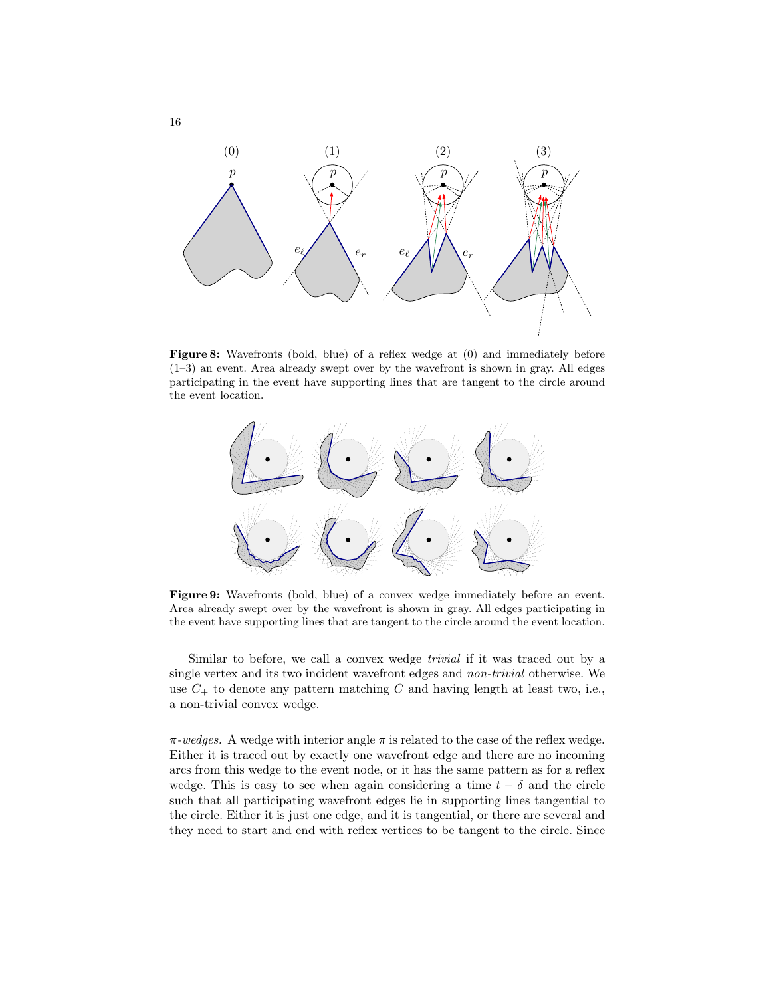<span id="page-15-0"></span>

Figure 8: Wavefronts (bold, blue) of a reflex wedge at (0) and immediately before (1–3) an event. Area already swept over by the wavefront is shown in gray. All edges participating in the event have supporting lines that are tangent to the circle around the event location.



Figure 9: Wavefronts (bold, blue) of a convex wedge immediately before an event. Area already swept over by the wavefront is shown in gray. All edges participating in the event have supporting lines that are tangent to the circle around the event location.

Similar to before, we call a convex wedge trivial if it was traced out by a single vertex and its two incident wavefront edges and non-trivial otherwise. We use  $C_{+}$  to denote any pattern matching C and having length at least two, i.e., a non-trivial convex wedge.

 $\pi$ -wedges. A wedge with interior angle  $\pi$  is related to the case of the reflex wedge. Either it is traced out by exactly one wavefront edge and there are no incoming arcs from this wedge to the event node, or it has the same pattern as for a reflex wedge. This is easy to see when again considering a time  $t - \delta$  and the circle such that all participating wavefront edges lie in supporting lines tangential to the circle. Either it is just one edge, and it is tangential, or there are several and they need to start and end with reflex vertices to be tangent to the circle. Since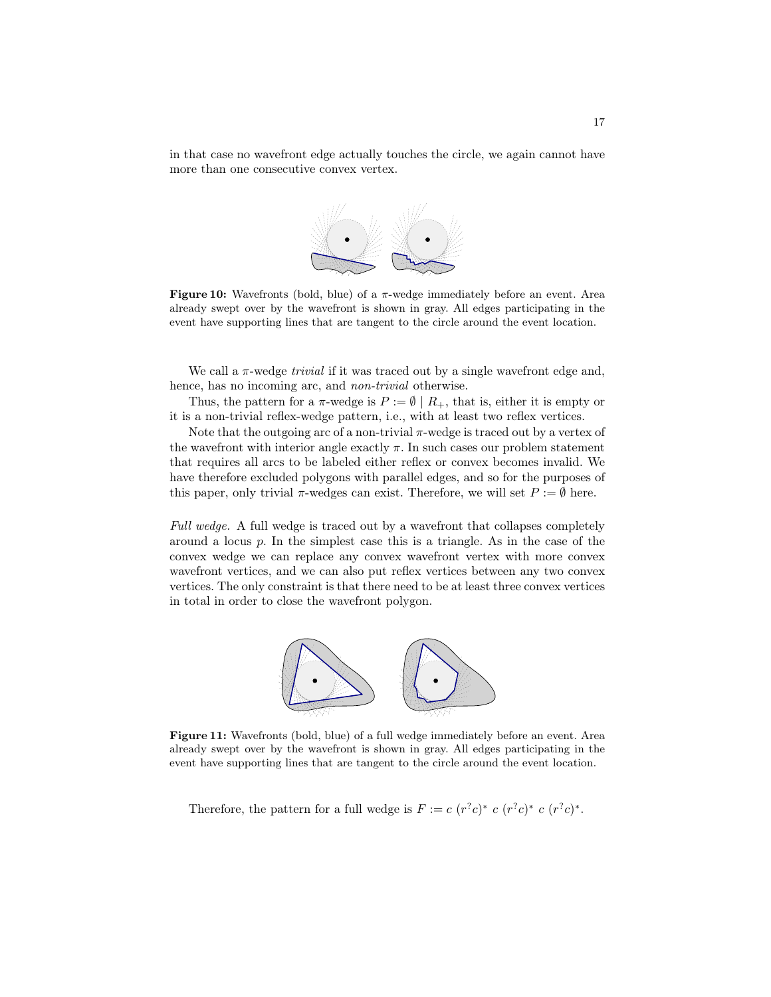in that case no wavefront edge actually touches the circle, we again cannot have more than one consecutive convex vertex.



**Figure 10:** Wavefronts (bold, blue) of a  $\pi$ -wedge immediately before an event. Area already swept over by the wavefront is shown in gray. All edges participating in the event have supporting lines that are tangent to the circle around the event location.

We call a  $\pi$ -wedge *trivial* if it was traced out by a single wavefront edge and, hence, has no incoming arc, and *non-trivial* otherwise.

Thus, the pattern for a  $\pi$ -wedge is  $P := \emptyset \mid R_+$ , that is, either it is empty or it is a non-trivial reflex-wedge pattern, i.e., with at least two reflex vertices.

Note that the outgoing arc of a non-trivial  $\pi$ -wedge is traced out by a vertex of the wavefront with interior angle exactly  $\pi$ . In such cases our problem statement that requires all arcs to be labeled either reflex or convex becomes invalid. We have therefore excluded polygons with parallel edges, and so for the purposes of this paper, only trivial  $\pi$ -wedges can exist. Therefore, we will set  $P := \emptyset$  here.

Full wedge. A full wedge is traced out by a wavefront that collapses completely around a locus p. In the simplest case this is a triangle. As in the case of the convex wedge we can replace any convex wavefront vertex with more convex wavefront vertices, and we can also put reflex vertices between any two convex vertices. The only constraint is that there need to be at least three convex vertices in total in order to close the wavefront polygon.



Figure 11: Wavefronts (bold, blue) of a full wedge immediately before an event. Area already swept over by the wavefront is shown in gray. All edges participating in the event have supporting lines that are tangent to the circle around the event location.

Therefore, the pattern for a full wedge is  $F := c (r^2 c)^* c (r^2 c)^* c (r^2 c)^*$ .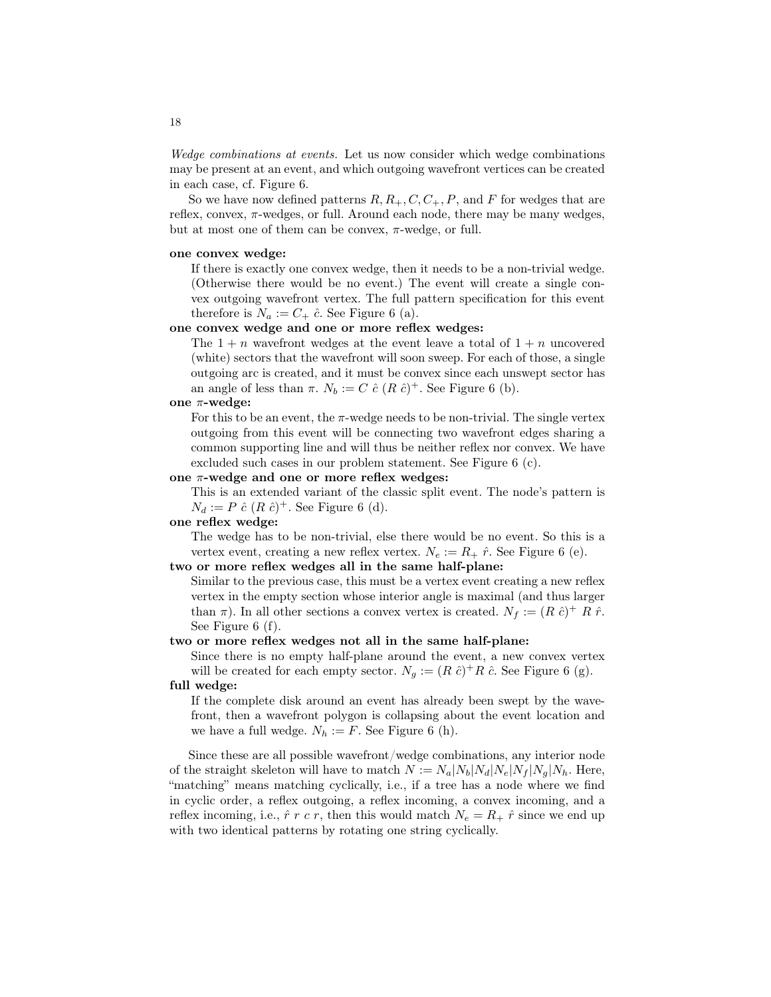Wedge combinations at events. Let us now consider which wedge combinations may be present at an event, and which outgoing wavefront vertices can be created in each case, cf. [Figure 6.](#page-9-0)

So we have now defined patterns  $R, R_+, C, C_+, P$ , and F for wedges that are reflex, convex,  $\pi$ -wedges, or full. Around each node, there may be many wedges, but at most one of them can be convex,  $\pi$ -wedge, or full.

### one convex wedge:

If there is exactly one convex wedge, then it needs to be a non-trivial wedge. (Otherwise there would be no event.) The event will create a single convex outgoing wavefront vertex. The full pattern specification for this event therefore is  $N_a := C_+ \hat{c}$ . See [Figure 6](#page-9-0) (a).

#### one convex wedge and one or more reflex wedges:

The  $1 + n$  wavefront wedges at the event leave a total of  $1 + n$  uncovered (white) sectors that the wavefront will soon sweep. For each of those, a single outgoing arc is created, and it must be convex since each unswept sector has an angle of less than  $\pi$ .  $N_b := C \hat{c} (R \hat{c})^+$ . See [Figure 6](#page-9-0) (b).

#### one  $\pi$ -wedge:

For this to be an event, the  $\pi$ -wedge needs to be non-trivial. The single vertex outgoing from this event will be connecting two wavefront edges sharing a common supporting line and will thus be neither reflex nor convex. We have excluded such cases in our problem statement. See [Figure 6](#page-9-0) (c).

#### one π-wedge and one or more reflex wedges:

This is an extended variant of the classic split event. The node's pattern is  $N_d := P \hat{c} (R \hat{c})^+$ . See [Figure 6](#page-9-0) (d).

#### one reflex wedge:

The wedge has to be non-trivial, else there would be no event. So this is a vertex event, creating a new reflex vertex.  $N_e := R_+ \hat{r}$ . See [Figure 6](#page-9-0) (e).

### two or more reflex wedges all in the same half-plane:

Similar to the previous case, this must be a vertex event creating a new reflex vertex in the empty section whose interior angle is maximal (and thus larger than  $\pi$ ). In all other sections a convex vertex is created.  $N_f := (R \hat{c})^+ R \hat{r}$ . See [Figure 6](#page-9-0) (f).

#### two or more reflex wedges not all in the same half-plane:

Since there is no empty half-plane around the event, a new convex vertex will be created for each empty sector.  $N_g := (R \hat{c})^+ R \hat{c}$ . See [Figure 6](#page-9-0) (g).

### full wedge:

If the complete disk around an event has already been swept by the wavefront, then a wavefront polygon is collapsing about the event location and we have a full wedge.  $N_h := F$ . See [Figure 6](#page-9-0) (h).

Since these are all possible wavefront/wedge combinations, any interior node of the straight skeleton will have to match  $N := N_a|N_b|N_d|N_e|N_f|N_a|N_h$ . Here, "matching" means matching cyclically, i.e., if a tree has a node where we find in cyclic order, a reflex outgoing, a reflex incoming, a convex incoming, and a reflex incoming, i.e.,  $\hat{r}$  r c r, then this would match  $N_e = R_+ \hat{r}$  since we end up with two identical patterns by rotating one string cyclically.

18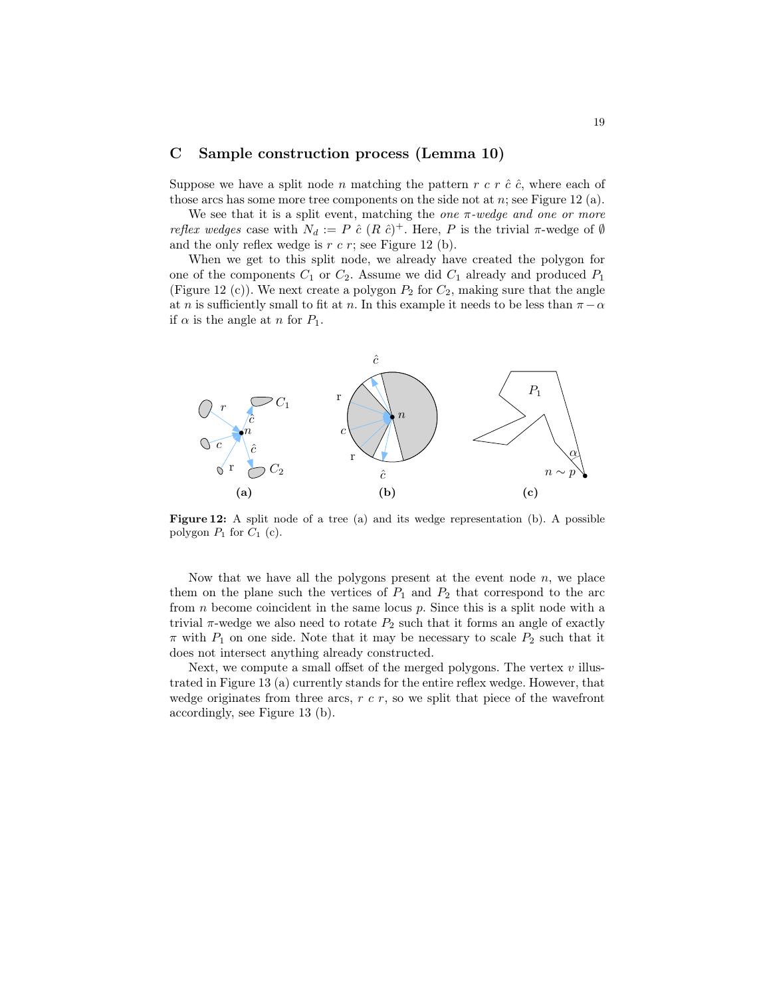# <span id="page-18-0"></span>C Sample construction process [\(Lemma 10\)](#page-10-1)

Suppose we have a split node n matching the pattern  $r c r \hat{c} \hat{c}$ , where each of those arcs has some more tree components on the side not at  $n$ ; see [Figure 12](#page-18-1) (a).

We see that it is a split event, matching the one  $\pi$ -wedge and one or more *reflex wedges* case with  $N_d := P \hat{c} (R \hat{c})^+$ . Here, P is the trivial  $\pi$ -wedge of  $\emptyset$ and the only reflex wedge is  $r c r$ ; see [Figure 12](#page-18-1) (b).

When we get to this split node, we already have created the polygon for one of the components  $C_1$  or  $C_2$ . Assume we did  $C_1$  already and produced  $P_1$ [\(Figure 12](#page-18-1) (c)). We next create a polygon  $P_2$  for  $C_2$ , making sure that the angle at n is sufficiently small to fit at n. In this example it needs to be less than  $\pi - \alpha$ if  $\alpha$  is the angle at n for  $P_1$ .

<span id="page-18-1"></span>

Figure 12: A split node of a tree (a) and its wedge representation (b). A possible polygon  $P_1$  for  $C_1$  (c).

Now that we have all the polygons present at the event node  $n$ , we place them on the plane such the vertices of  $P_1$  and  $P_2$  that correspond to the arc from  $n$  become coincident in the same locus  $p$ . Since this is a split node with a trivial  $\pi$ -wedge we also need to rotate  $P_2$  such that it forms an angle of exactly  $\pi$  with  $P_1$  on one side. Note that it may be necessary to scale  $P_2$  such that it does not intersect anything already constructed.

Next, we compute a small offset of the merged polygons. The vertex  $v$  illustrated in [Figure 13](#page-19-0) (a) currently stands for the entire reflex wedge. However, that wedge originates from three arcs,  $r c r$ , so we split that piece of the wavefront accordingly, see [Figure 13](#page-19-0) (b).